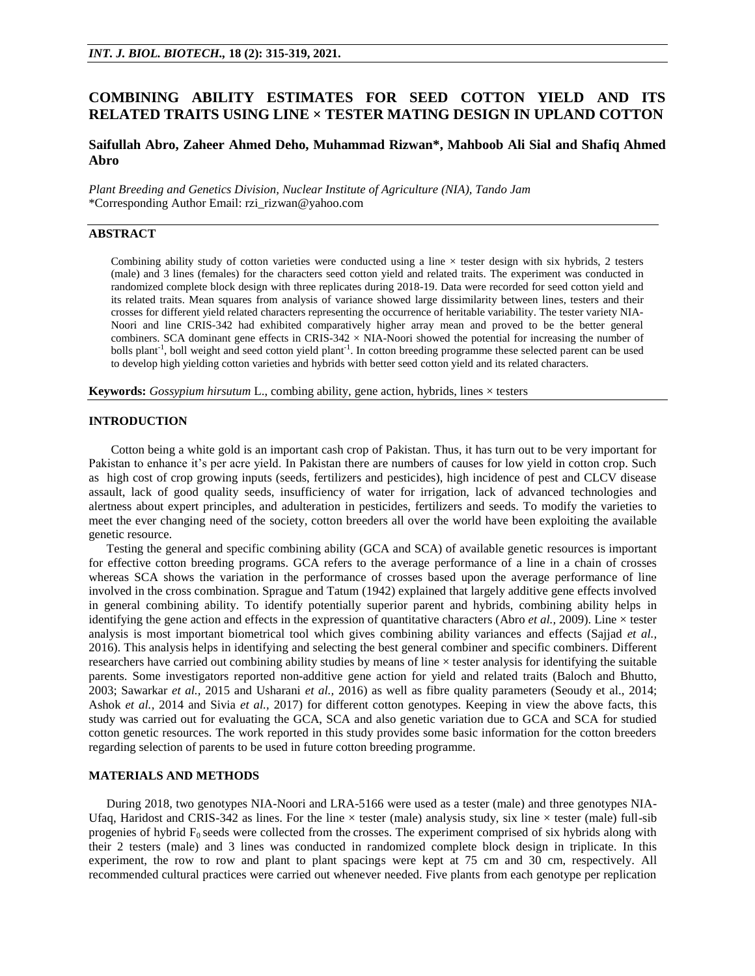# **COMBINING ABILITY ESTIMATES FOR SEED COTTON YIELD AND ITS RELATED TRAITS USING LINE × TESTER MATING DESIGN IN UPLAND COTTON**

# **Saifullah Abro, Zaheer Ahmed Deho, Muhammad Rizwan\*, Mahboob Ali Sial and Shafiq Ahmed Abro**

*Plant Breeding and Genetics Division, Nuclear Institute of Agriculture (NIA), Tando Jam* \*Corresponding Author Email: rzi\_rizwan@yahoo.com

#### **ABSTRACT**

Combining ability study of cotton varieties were conducted using a line  $\times$  tester design with six hybrids, 2 testers (male) and 3 lines (females) for the characters seed cotton yield and related traits. The experiment was conducted in randomized complete block design with three replicates during 2018-19. Data were recorded for seed cotton yield and its related traits. Mean squares from analysis of variance showed large dissimilarity between lines, testers and their crosses for different yield related characters representing the occurrence of heritable variability. The tester variety NIA-Noori and line CRIS-342 had exhibited comparatively higher array mean and proved to be the better general combiners. SCA dominant gene effects in CRIS-342  $\times$  NIA-Noori showed the potential for increasing the number of bolls plant<sup>-1</sup>, boll weight and seed cotton yield plant<sup>-1</sup>. In cotton breeding programme these selected parent can be used to develop high yielding cotton varieties and hybrids with better seed cotton yield and its related characters.

**Keywords:** *Gossypium hirsutum* L., combing ability, gene action, hybrids, lines × testers

#### **INTRODUCTION**

Cotton being a white gold is an important cash crop of Pakistan. Thus, it has turn out to be very important for Pakistan to enhance it's per acre yield. In Pakistan there are numbers of causes for low yield in cotton crop. Such as high cost of crop growing inputs (seeds, fertilizers and pesticides), high incidence of pest and CLCV disease assault, lack of good quality seeds, insufficiency of water for irrigation, lack of advanced technologies and alertness about expert principles, and adulteration in pesticides, fertilizers and seeds. To modify the varieties to meet the ever changing need of the society, cotton breeders all over the world have been exploiting the available genetic resource.

Testing the general and specific combining ability (GCA and SCA) of available genetic resources is important for effective cotton breeding programs. GCA refers to the average performance of a line in a chain of crosses whereas SCA shows the variation in the performance of crosses based upon the average performance of line involved in the cross combination. Sprague and Tatum (1942) explained that largely additive gene effects involved in general combining ability. To identify potentially superior parent and hybrids, combining ability helps in identifying the gene action and effects in the expression of quantitative characters (Abro *et al.*, 2009). Line  $\times$  tester analysis is most important biometrical tool which gives combining ability variances and effects [\(Sajjad](http://researcherslinks.com/current-issues/Studying-Combining-Ability-and-Heterosis/24/1/1462/html#Sajjad--M.--M.T.-Azhar-and-M.U.-Malook.-2016.-Line--) *et al.,* [2016\)](http://researcherslinks.com/current-issues/Studying-Combining-Ability-and-Heterosis/24/1/1462/html#Sajjad--M.--M.T.-Azhar-and-M.U.-Malook.-2016.-Line--). This analysis helps in identifying and selecting the best general combiner and specific combiners. Different researchers have carried out combining ability studies by means of line  $\times$  tester analysis for identifying the suitable parents. Some investigators reported non-additive gene action for yield and related traits (Baloch and Bhutto, 2003; Sawarkar *et al.,* 2015 and Usharani *et al.,* 2016) as well as fibre quality parameters (Seoudy et al.*,* 2014; Ashok *et al.,* 2014 and Sivia *et al.,* 2017) for different cotton genotypes. Keeping in view the above facts, this study was carried out for evaluating the GCA, SCA and also genetic variation due to GCA and SCA for studied cotton genetic resources. The work reported in this study provides some basic information for the cotton breeders regarding selection of parents to be used in future cotton breeding programme.

## **MATERIALS AND METHODS**

During 2018, two genotypes NIA-Noori and LRA-5166 were used as a tester (male) and three genotypes NIA-Ufaq, Haridost and CRIS-342 as lines. For the line  $\times$  tester (male) analysis study, six line  $\times$  tester (male) full-sib progenies of hybrid  $F_0$  seeds were collected from the crosses. The experiment comprised of six hybrids along with their 2 testers (male) and 3 lines was conducted in randomized complete block design in triplicate. In this experiment, the row to row and plant to plant spacings were kept at 75 cm and 30 cm, respectively. All recommended cultural practices were carried out whenever needed. Five plants from each genotype per replication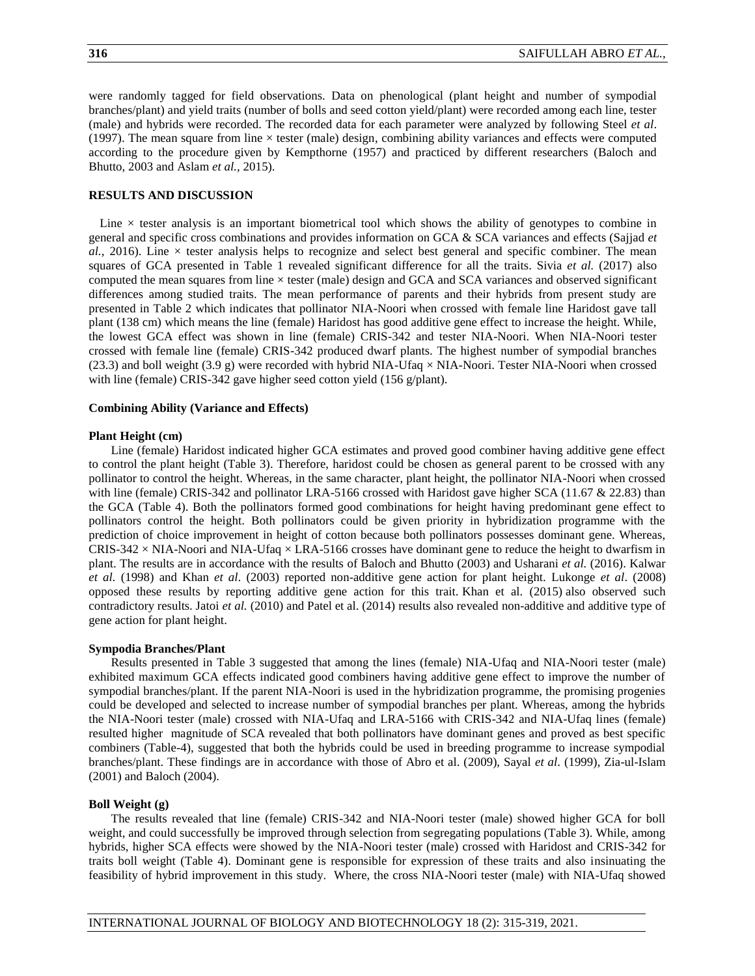were randomly tagged for field observations. Data on phenological (plant height and number of sympodial branches/plant) and yield traits (number of bolls and seed cotton yield/plant) were recorded among each line, tester (male) and hybrids were recorded. The recorded data for each parameter were analyzed by following Steel *et al*. (1997). The mean square from line  $\times$  tester (male) design, combining ability variances and effects were computed according to the procedure given by Kempthorne (1957) and practiced by different researchers (Baloch and Bhutto, 2003 and Aslam *et al.,* 2015).

# **RESULTS AND DISCUSSION**

Line  $\times$  tester analysis is an important biometrical tool which shows the ability of genotypes to combine in general and specific cross combinations and provides information on GCA & SCA variances and effects (Sajjad *et*   $al$ , 2016). Line  $\times$  tester analysis helps to recognize and select best general and specific combiner. The mean squares of GCA presented in Table 1 revealed significant difference for all the traits. Sivia *et al.* (2017) also computed the mean squares from line × tester (male) design and GCA and SCA variances and observed significant differences among studied traits. The mean performance of parents and their hybrids from present study are presented in Table 2 which indicates that pollinator NIA-Noori when crossed with female line Haridost gave tall plant (138 cm) which means the line (female) Haridost has good additive gene effect to increase the height. While, the lowest GCA effect was shown in line (female) CRIS-342 and tester NIA-Noori. When NIA-Noori tester crossed with female line (female) CRIS-342 produced dwarf plants. The highest number of sympodial branches (23.3) and boll weight (3.9 g) were recorded with hybrid NIA-Ufaq × NIA-Noori. Tester NIA-Noori when crossed with line (female) CRIS-342 gave higher seed cotton yield (156 g/plant).

## **Combining Ability (Variance and Effects)**

#### **Plant Height (cm)**

Line (female) Haridost indicated higher GCA estimates and proved good combiner having additive gene effect to control the plant height (Table 3). Therefore, haridost could be chosen as general parent to be crossed with any pollinator to control the height. Whereas, in the same character, plant height, the pollinator NIA-Noori when crossed with line (female) CRIS-342 and pollinator LRA-5166 crossed with Haridost gave higher SCA (11.67 & 22.83) than the GCA (Table 4). Both the pollinators formed good combinations for height having predominant gene effect to pollinators control the height. Both pollinators could be given priority in hybridization programme with the prediction of choice improvement in height of cotton because both pollinators possesses dominant gene. Whereas, CRIS-342  $\times$  NIA-Noori and NIA-Ufaq  $\times$  LRA-5166 crosses have dominant gene to reduce the height to dwarfism in plant. The results are in accordance with the results of Baloch and Bhutto (2003) and [Usharani](http://researcherslinks.com/current-issues/Studying-Combining-Ability-and-Heterosis/24/1/1462/html#Usharani--C.V.--S.M.-M) *et al.* (2016). Kalwar *et al.* (1998) and Khan *et al*. (2003) reported non-additive gene action for plant height. Lukonge *et al*. (2008) opposed these results by reporting additive gene action for this trait. [Khan et al. \(2015\)](http://researcherslinks.com/current-issues/Studying-Combining-Ability-and-Heterosis/24/1/1462/html#Khan--M.N.--S.A.-Malik--a) also observed such contradictory results. Jatoi *et al.* (2010) and Patel et al. (2014) results also revealed non-additive and additive type of gene action for plant height.

#### **Sympodia Branches/Plant**

Results presented in Table 3 suggested that among the lines (female) NIA-Ufaq and NIA-Noori tester (male) exhibited maximum GCA effects indicated good combiners having additive gene effect to improve the number of sympodial branches/plant. If the parent NIA-Noori is used in the hybridization programme, the promising progenies could be developed and selected to increase number of sympodial branches per plant. Whereas, among the hybrids the NIA-Noori tester (male) crossed with NIA-Ufaq and LRA-5166 with CRIS-342 and NIA-Ufaq lines (female) resulted higher magnitude of SCA revealed that both pollinators have dominant genes and proved as best specific combiners (Table-4), suggested that both the hybrids could be used in breeding programme to increase sympodial branches/plant. These findings are in accordance with those of Abro et al. (2009), Sayal *et al*. (1999), Zia-ul-Islam (2001) and Baloch (2004).

#### **Boll Weight (g)**

The results revealed that line (female) CRIS-342 and NIA-Noori tester (male) showed higher GCA for boll weight, and could successfully be improved through selection from segregating populations (Table 3). While, among hybrids, higher SCA effects were showed by the NIA-Noori tester (male) crossed with Haridost and CRIS-342 for traits boll weight (Table 4). Dominant gene is responsible for expression of these traits and also insinuating the feasibility of hybrid improvement in this study. Where, the cross NIA-Noori tester (male) with NIA-Ufaq showed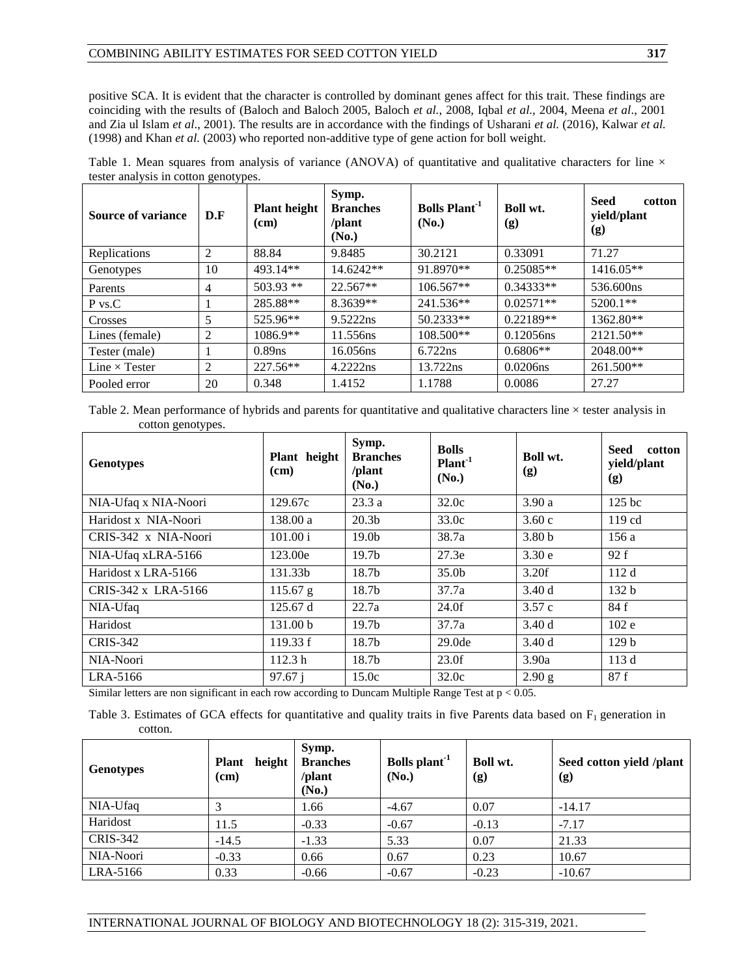positive SCA. It is evident that the character is controlled by dominant genes affect for this trait. These findings are coinciding with the results of (Baloch and Baloch 2005, Baloch *et al.*, 2008, Iqbal *et al.,* 2004, Meena *et al*., 2001 and Zia ul Islam *et al*., 2001). The results are in accordance with the findings of [Usharani](http://researcherslinks.com/current-issues/Studying-Combining-Ability-and-Heterosis/24/1/1462/html#Usharani--C.V.--S.M.-M) *et al.* (2016), Kalwar *et al.* (1998) and Khan *et al.* (2003) who reported non-additive type of gene action for boll weight.

Table 1. Mean squares from analysis of variance (ANOVA) of quantitative and qualitative characters for line  $\times$ tester analysis in cotton genotypes.

| <b>Source of variance</b> | D.F            | <b>Plant height</b><br>(cm) | Symp.<br><b>Branches</b><br>/plant<br>(No.) | <b>Bolls Plant</b> <sup>1</sup><br>(No.) | Boll wt.<br>(g) | <b>Seed</b><br>cotton<br>yield/plant<br>(g) |
|---------------------------|----------------|-----------------------------|---------------------------------------------|------------------------------------------|-----------------|---------------------------------------------|
| Replications              | 2              | 88.84                       | 9.8485                                      | 30.2121                                  | 0.33091         | 71.27                                       |
| Genotypes                 | 10             | 493.14**                    | 14.6242**                                   | 91.8970**                                | $0.25085**$     | 1416.05**                                   |
| Parents                   | $\overline{4}$ | $503.93$ **                 | $22.567**$                                  | 106.567**                                | $0.34333**$     | 536.600ns                                   |
| P vs.C                    |                | 285.88**                    | $8.3639**$                                  | 241.536**                                | $0.02571**$     | $5200.1**$                                  |
| Crosses                   | 5              | 525.96**                    | 9.5222ns                                    | 50.2333**                                | $0.22189**$     | 1362.80**                                   |
| Lines (female)            | 2              | $1086.9**$                  | 11.556ns                                    | $108.500**$                              | 0.12056ns       | 2121.50**                                   |
| Tester (male)             |                | $0.89$ ns                   | 16.056ns                                    | 6.722ns                                  | $0.6806**$      | 2048.00**                                   |
| Line $\times$ Tester      | 2              | 227.56**                    | 4.2222ns                                    | 13.722ns                                 | $0.0206$ ns     | 261.500**                                   |
| Pooled error              | 20             | 0.348                       | 1.4152                                      | 1.1788                                   | 0.0086          | 27.27                                       |

Table 2. Mean performance of hybrids and parents for quantitative and qualitative characters line  $\times$  tester analysis in cotton genotypes.

| <b>Genotypes</b>     | Plant height<br>(cm) | Symp.<br><b>Branches</b><br>/plant<br>(No.) | <b>Bolls</b><br>Plant <sup>1</sup><br>(No.) | Boll wt.<br>(g)   | <b>Seed</b><br>cotton<br>yield/plant<br>(g) |
|----------------------|----------------------|---------------------------------------------|---------------------------------------------|-------------------|---------------------------------------------|
| NIA-Ufaq x NIA-Noori | 129.67c              | 23.3a                                       | 32.0c                                       | 3.90a             | $125$ bc                                    |
| Haridost x NIA-Noori | 138.00 a             | 20.3 <sub>b</sub>                           | 33.0c                                       | 3.60c             | $119 \text{ cd}$                            |
| CRIS-342 x NIA-Noori | 101.00 i             | 19.0 <sub>b</sub>                           | 38.7a                                       | 3.80 <sub>b</sub> | 156a                                        |
| NIA-Ufaq xLRA-5166   | 123.00e              | 19.7 <sub>b</sub>                           | 27.3e                                       | 3.30e             | 92 f                                        |
| Haridost x LRA-5166  | 131.33b              | 18.7 <sub>b</sub>                           | 35.0 <sub>b</sub>                           | 3.20f             | 112d                                        |
| CRIS-342 x LRA-5166  | 115.67 g             | 18.7 <sub>b</sub>                           | 37.7a                                       | 3.40d             | 132 <sub>b</sub>                            |
| NIA-Ufaq             | 125.67 d             | 22.7a                                       | 24.0f                                       | 3.57c             | 84 f                                        |
| Haridost             | 131.00 b             | 19.7 <sub>b</sub>                           | 37.7a                                       | 3.40d             | 102e                                        |
| CRIS-342             | 119.33 f             | 18.7 <sub>b</sub>                           | 29.0 <sub>de</sub>                          | 3.40d             | 129 <sub>b</sub>                            |
| NIA-Noori            | 112.3 h              | 18.7 <sub>b</sub>                           | 23.0f                                       | 3.90a             | 113 d                                       |
| LRA-5166             | $97.67$ j            | 15.0c                                       | 32.0c                                       | 2.90 g            | 87 f                                        |

Similar letters are non significant in each row according to Duncam Multiple Range Test at p < 0.05.

Table 3. Estimates of GCA effects for quantitative and quality traits in five Parents data based on  $F_1$  generation in cotton.

| <b>Genotypes</b> | height<br><b>Plant</b><br>(cm) | Symp.<br><b>Branches</b><br>/plant<br>(No.) | Bolls plant <sup>-1</sup><br>(No.) | Boll wt.<br>(g) | Seed cotton yield /plant<br>(g) |
|------------------|--------------------------------|---------------------------------------------|------------------------------------|-----------------|---------------------------------|
| NIA-Ufaq         |                                | 1.66                                        | $-4.67$                            | 0.07            | $-14.17$                        |
| Haridost         | 11.5                           | $-0.33$                                     | $-0.67$                            | $-0.13$         | $-7.17$                         |
| <b>CRIS-342</b>  | $-14.5$                        | $-1.33$                                     | 5.33                               | 0.07            | 21.33                           |
| NIA-Noori        | $-0.33$                        | 0.66                                        | 0.67                               | 0.23            | 10.67                           |
| LRA-5166         | 0.33                           | $-0.66$                                     | $-0.67$                            | $-0.23$         | $-10.67$                        |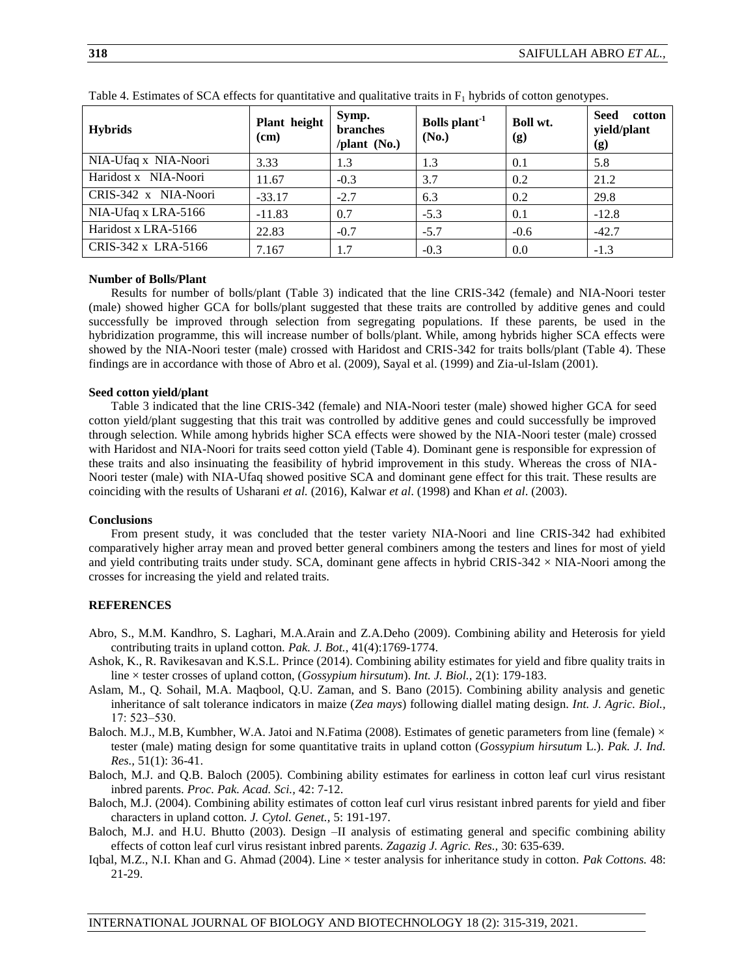| <b>Hybrids</b>       | Plant height<br>(cm) | Symp.<br>branches<br>/plant $(No.)$ | Bolls plant <sup>-1</sup><br>(No.) | Boll wt.<br>(g) | <b>Seed</b><br>cotton<br>yield/plant<br>(g) |
|----------------------|----------------------|-------------------------------------|------------------------------------|-----------------|---------------------------------------------|
| NIA-Ufaq x NIA-Noori | 3.33                 | 1.3                                 | 1.3                                | 0.1             | 5.8                                         |
| Haridost x NIA-Noori | 11.67                | $-0.3$                              | 3.7                                | 0.2             | 21.2                                        |
| CRIS-342 x NIA-Noori | $-33.17$             | $-2.7$                              | 6.3                                | 0.2             | 29.8                                        |
| NIA-Ufaq x LRA-5166  | $-11.83$             | 0.7                                 | $-5.3$                             | 0.1             | $-12.8$                                     |
| Haridost x LRA-5166  | 22.83                | $-0.7$                              | $-5.7$                             | $-0.6$          | $-42.7$                                     |
| CRIS-342 x LRA-5166  | 7.167                | 1.7                                 | $-0.3$                             | 0.0             | $-1.3$                                      |

Table 4. Estimates of SCA effects for quantitative and qualitative traits in  $F_1$  hybrids of cotton genotypes.

#### **Number of Bolls/Plant**

Results for number of bolls/plant (Table 3) indicated that the line CRIS-342 (female) and NIA-Noori tester (male) showed higher GCA for bolls/plant suggested that these traits are controlled by additive genes and could successfully be improved through selection from segregating populations. If these parents, be used in the hybridization programme, this will increase number of bolls/plant. While, among hybrids higher SCA effects were showed by the NIA-Noori tester (male) crossed with Haridost and CRIS-342 for traits bolls/plant (Table 4). These findings are in accordance with those of Abro et al. (2009), Sayal et al. (1999) and Zia-ul-Islam (2001).

#### **Seed cotton yield/plant**

Table 3 indicated that the line CRIS-342 (female) and NIA-Noori tester (male) showed higher GCA for seed cotton yield/plant suggesting that this trait was controlled by additive genes and could successfully be improved through selection. While among hybrids higher SCA effects were showed by the NIA-Noori tester (male) crossed with Haridost and NIA-Noori for traits seed cotton yield (Table 4). Dominant gene is responsible for expression of these traits and also insinuating the feasibility of hybrid improvement in this study. Whereas the cross of NIA-Noori tester (male) with NIA-Ufaq showed positive SCA and dominant gene effect for this trait. These results are coinciding with the results of [Usharani](http://researcherslinks.com/current-issues/Studying-Combining-Ability-and-Heterosis/24/1/1462/html#Usharani--C.V.--S.M.-M) *et al.* (2016), Kalwar *et al*. (1998) and Khan *et al*. (2003).

#### **Conclusions**

From present study, it was concluded that the tester variety NIA-Noori and line CRIS-342 had exhibited comparatively higher array mean and proved better general combiners among the testers and lines for most of yield and yield contributing traits under study. SCA, dominant gene affects in hybrid CRIS-342  $\times$  NIA-Noori among the crosses for increasing the yield and related traits.

#### **REFERENCES**

- Abro, S., M.M. Kandhro, S. Laghari, M.A.Arain and Z.A.Deho (2009). Combining ability and Heterosis for yield contributing traits in upland cotton. *Pak. J. Bot.,* 41(4):1769-1774.
- Ashok, K., R. Ravikesavan and K.S.L. Prince (2014). Combining ability estimates for yield and fibre quality traits in line × tester crosses of upland cotton, (*Gossypium hirsutum*). *Int. J. Biol.,* 2(1): 179-183.
- Aslam, M., Q. Sohail, M.A. Maqbool, Q.U. Zaman, and S. Bano (2015). Combining ability analysis and genetic inheritance of salt tolerance indicators in maize (*Zea mays*) following diallel mating design. *Int. J. Agric. Biol.,* 17: 523‒530.
- Baloch. M.J., M.B, Kumbher, W.A. Jatoi and N.Fatima (2008). Estimates of genetic parameters from line (female)  $\times$ tester (male) mating design for some quantitative traits in upland cotton (*Gossypium hirsutum* L.). *Pak. J. Ind. Res.,* 51(1): 36-41.
- Baloch, M.J. and Q.B. Baloch (2005). Combining ability estimates for earliness in cotton leaf curl virus resistant inbred parents. *Proc. Pak. Acad. Sci.,* 42: 7-12.
- Baloch, M.J. (2004). Combining ability estimates of cotton leaf curl virus resistant inbred parents for yield and fiber characters in upland cotton. *J. Cytol. Genet.,* 5: 191-197.
- Baloch, M.J. and H.U. Bhutto (2003). Design –II analysis of estimating general and specific combining ability effects of cotton leaf curl virus resistant inbred parents. *Zagazig J. Agric. Res.,* 30: 635-639.
- Iqbal, M.Z., N.I. Khan and G. Ahmad (2004). Line × tester analysis for inheritance study in cotton. *Pak Cottons.* 48: 21-29.